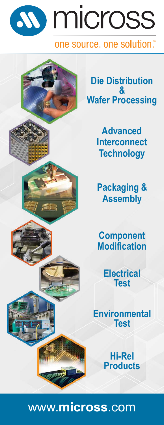# **SO** micross

## one source, one solution."



**Die Distribution & Wafer Processing**

> **Advanced Interconnect Technology**

> **Packaging & Assembly**

**Component Modification**

> **Electrical Test**

**Environmental Test**

> **Hi-Rel Products**

# www.**micross**.com